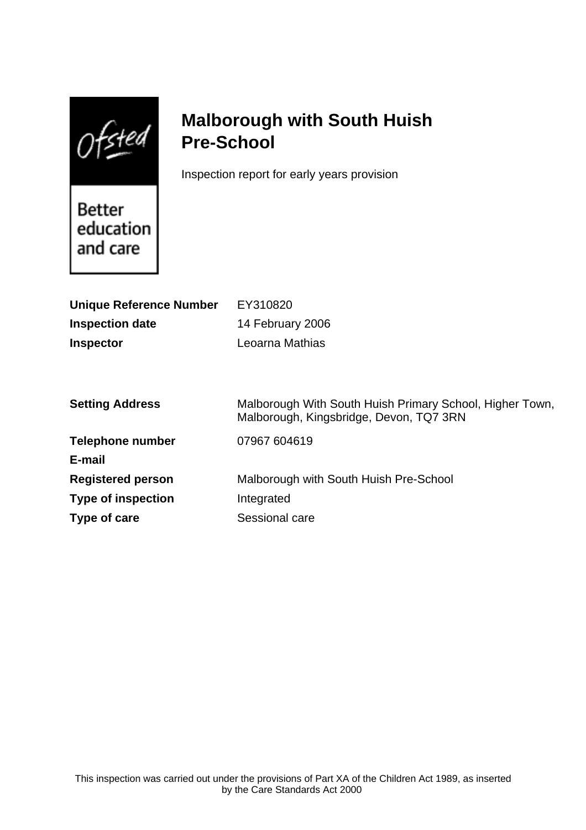$Of$ sted

# **Malborough with South Huish Pre-School**

Inspection report for early years provision

Better education and care

| <b>Unique Reference Number</b> | EY310820                                                                                            |
|--------------------------------|-----------------------------------------------------------------------------------------------------|
| <b>Inspection date</b>         | 14 February 2006                                                                                    |
| <b>Inspector</b>               | Leoarna Mathias                                                                                     |
|                                |                                                                                                     |
|                                |                                                                                                     |
| <b>Setting Address</b>         | Malborough With South Huish Primary School, Higher Town,<br>Malborough, Kingsbridge, Devon, TQ7 3RN |
| <b>Telephone number</b>        | 07967 604619                                                                                        |
| E-mail                         |                                                                                                     |
| <b>Registered person</b>       | Malborough with South Huish Pre-School                                                              |
| <b>Type of inspection</b>      | Integrated                                                                                          |
| Type of care                   | Sessional care                                                                                      |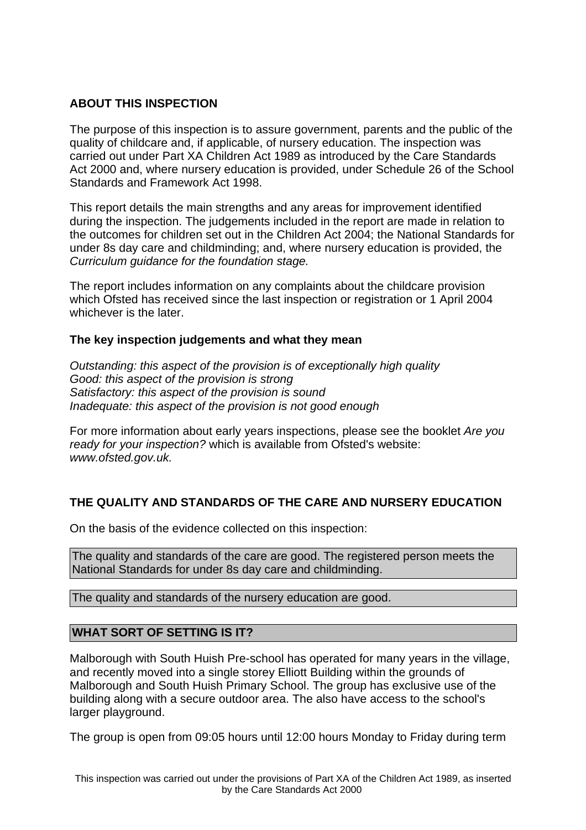# **ABOUT THIS INSPECTION**

The purpose of this inspection is to assure government, parents and the public of the quality of childcare and, if applicable, of nursery education. The inspection was carried out under Part XA Children Act 1989 as introduced by the Care Standards Act 2000 and, where nursery education is provided, under Schedule 26 of the School Standards and Framework Act 1998.

This report details the main strengths and any areas for improvement identified during the inspection. The judgements included in the report are made in relation to the outcomes for children set out in the Children Act 2004; the National Standards for under 8s day care and childminding; and, where nursery education is provided, the Curriculum guidance for the foundation stage.

The report includes information on any complaints about the childcare provision which Ofsted has received since the last inspection or registration or 1 April 2004 whichever is the later.

# **The key inspection judgements and what they mean**

Outstanding: this aspect of the provision is of exceptionally high quality Good: this aspect of the provision is strong Satisfactory: this aspect of the provision is sound Inadequate: this aspect of the provision is not good enough

For more information about early years inspections, please see the booklet Are you ready for your inspection? which is available from Ofsted's website: www.ofsted.gov.uk.

# **THE QUALITY AND STANDARDS OF THE CARE AND NURSERY EDUCATION**

On the basis of the evidence collected on this inspection:

The quality and standards of the care are good. The registered person meets the National Standards for under 8s day care and childminding.

The quality and standards of the nursery education are good.

# **WHAT SORT OF SETTING IS IT?**

Malborough with South Huish Pre-school has operated for many years in the village, and recently moved into a single storey Elliott Building within the grounds of Malborough and South Huish Primary School. The group has exclusive use of the building along with a secure outdoor area. The also have access to the school's larger playground.

The group is open from 09:05 hours until 12:00 hours Monday to Friday during term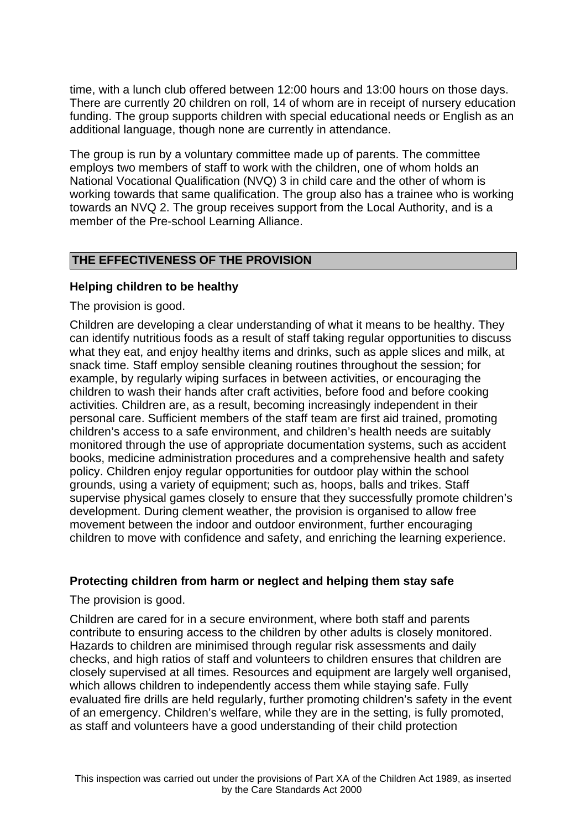time, with a lunch club offered between 12:00 hours and 13:00 hours on those days. There are currently 20 children on roll, 14 of whom are in receipt of nursery education funding. The group supports children with special educational needs or English as an additional language, though none are currently in attendance.

The group is run by a voluntary committee made up of parents. The committee employs two members of staff to work with the children, one of whom holds an National Vocational Qualification (NVQ) 3 in child care and the other of whom is working towards that same qualification. The group also has a trainee who is working towards an NVQ 2. The group receives support from the Local Authority, and is a member of the Pre-school Learning Alliance.

# **THE EFFECTIVENESS OF THE PROVISION**

#### **Helping children to be healthy**

The provision is good.

Children are developing a clear understanding of what it means to be healthy. They can identify nutritious foods as a result of staff taking regular opportunities to discuss what they eat, and enjoy healthy items and drinks, such as apple slices and milk, at snack time. Staff employ sensible cleaning routines throughout the session; for example, by regularly wiping surfaces in between activities, or encouraging the children to wash their hands after craft activities, before food and before cooking activities. Children are, as a result, becoming increasingly independent in their personal care. Sufficient members of the staff team are first aid trained, promoting children's access to a safe environment, and children's health needs are suitably monitored through the use of appropriate documentation systems, such as accident books, medicine administration procedures and a comprehensive health and safety policy. Children enjoy regular opportunities for outdoor play within the school grounds, using a variety of equipment; such as, hoops, balls and trikes. Staff supervise physical games closely to ensure that they successfully promote children's development. During clement weather, the provision is organised to allow free movement between the indoor and outdoor environment, further encouraging children to move with confidence and safety, and enriching the learning experience.

# **Protecting children from harm or neglect and helping them stay safe**

The provision is good.

Children are cared for in a secure environment, where both staff and parents contribute to ensuring access to the children by other adults is closely monitored. Hazards to children are minimised through regular risk assessments and daily checks, and high ratios of staff and volunteers to children ensures that children are closely supervised at all times. Resources and equipment are largely well organised, which allows children to independently access them while staying safe. Fully evaluated fire drills are held regularly, further promoting children's safety in the event of an emergency. Children's welfare, while they are in the setting, is fully promoted, as staff and volunteers have a good understanding of their child protection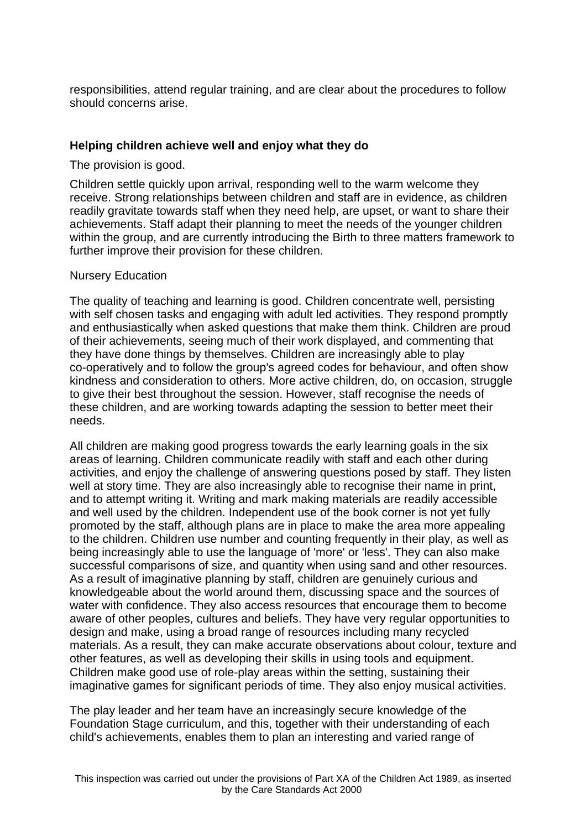responsibilities, attend regular training, and are clear about the procedures to follow should concerns arise.

# **Helping children achieve well and enjoy what they do**

The provision is good.

Children settle quickly upon arrival, responding well to the warm welcome they receive. Strong relationships between children and staff are in evidence, as children readily gravitate towards staff when they need help, are upset, or want to share their achievements. Staff adapt their planning to meet the needs of the younger children within the group, and are currently introducing the Birth to three matters framework to further improve their provision for these children.

#### Nursery Education

The quality of teaching and learning is good. Children concentrate well, persisting with self chosen tasks and engaging with adult led activities. They respond promptly and enthusiastically when asked questions that make them think. Children are proud of their achievements, seeing much of their work displayed, and commenting that they have done things by themselves. Children are increasingly able to play co-operatively and to follow the group's agreed codes for behaviour, and often show kindness and consideration to others. More active children, do, on occasion, struggle to give their best throughout the session. However, staff recognise the needs of these children, and are working towards adapting the session to better meet their needs.

All children are making good progress towards the early learning goals in the six areas of learning. Children communicate readily with staff and each other during activities, and enjoy the challenge of answering questions posed by staff. They listen well at story time. They are also increasingly able to recognise their name in print, and to attempt writing it. Writing and mark making materials are readily accessible and well used by the children. Independent use of the book corner is not yet fully promoted by the staff, although plans are in place to make the area more appealing to the children. Children use number and counting frequently in their play, as well as being increasingly able to use the language of 'more' or 'less'. They can also make successful comparisons of size, and quantity when using sand and other resources. As a result of imaginative planning by staff, children are genuinely curious and knowledgeable about the world around them, discussing space and the sources of water with confidence. They also access resources that encourage them to become aware of other peoples, cultures and beliefs. They have very regular opportunities to design and make, using a broad range of resources including many recycled materials. As a result, they can make accurate observations about colour, texture and other features, as well as developing their skills in using tools and equipment. Children make good use of role-play areas within the setting, sustaining their imaginative games for significant periods of time. They also enjoy musical activities.

The play leader and her team have an increasingly secure knowledge of the Foundation Stage curriculum, and this, together with their understanding of each child's achievements, enables them to plan an interesting and varied range of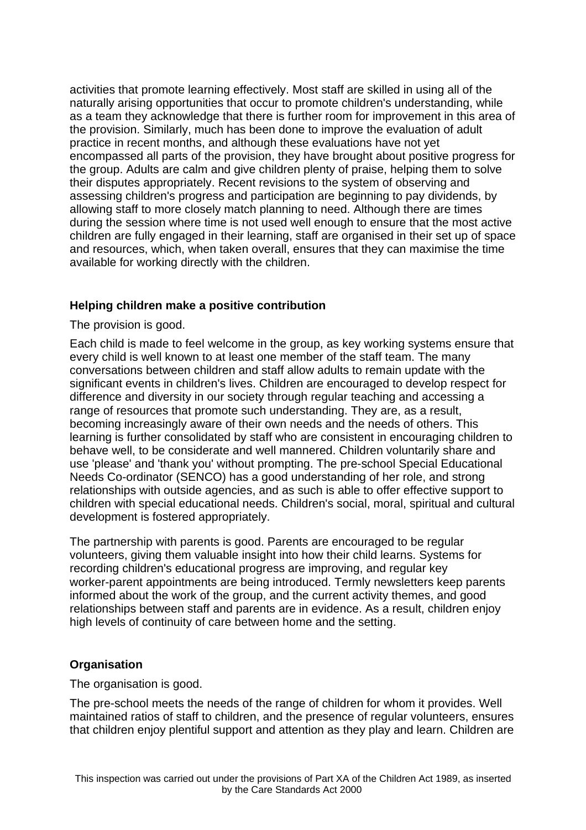activities that promote learning effectively. Most staff are skilled in using all of the naturally arising opportunities that occur to promote children's understanding, while as a team they acknowledge that there is further room for improvement in this area of the provision. Similarly, much has been done to improve the evaluation of adult practice in recent months, and although these evaluations have not yet encompassed all parts of the provision, they have brought about positive progress for the group. Adults are calm and give children plenty of praise, helping them to solve their disputes appropriately. Recent revisions to the system of observing and assessing children's progress and participation are beginning to pay dividends, by allowing staff to more closely match planning to need. Although there are times during the session where time is not used well enough to ensure that the most active children are fully engaged in their learning, staff are organised in their set up of space and resources, which, when taken overall, ensures that they can maximise the time available for working directly with the children.

# **Helping children make a positive contribution**

The provision is good.

Each child is made to feel welcome in the group, as key working systems ensure that every child is well known to at least one member of the staff team. The many conversations between children and staff allow adults to remain update with the significant events in children's lives. Children are encouraged to develop respect for difference and diversity in our society through regular teaching and accessing a range of resources that promote such understanding. They are, as a result, becoming increasingly aware of their own needs and the needs of others. This learning is further consolidated by staff who are consistent in encouraging children to behave well, to be considerate and well mannered. Children voluntarily share and use 'please' and 'thank you' without prompting. The pre-school Special Educational Needs Co-ordinator (SENCO) has a good understanding of her role, and strong relationships with outside agencies, and as such is able to offer effective support to children with special educational needs. Children's social, moral, spiritual and cultural development is fostered appropriately.

The partnership with parents is good. Parents are encouraged to be regular volunteers, giving them valuable insight into how their child learns. Systems for recording children's educational progress are improving, and regular key worker-parent appointments are being introduced. Termly newsletters keep parents informed about the work of the group, and the current activity themes, and good relationships between staff and parents are in evidence. As a result, children enjoy high levels of continuity of care between home and the setting.

# **Organisation**

The organisation is good.

The pre-school meets the needs of the range of children for whom it provides. Well maintained ratios of staff to children, and the presence of regular volunteers, ensures that children enjoy plentiful support and attention as they play and learn. Children are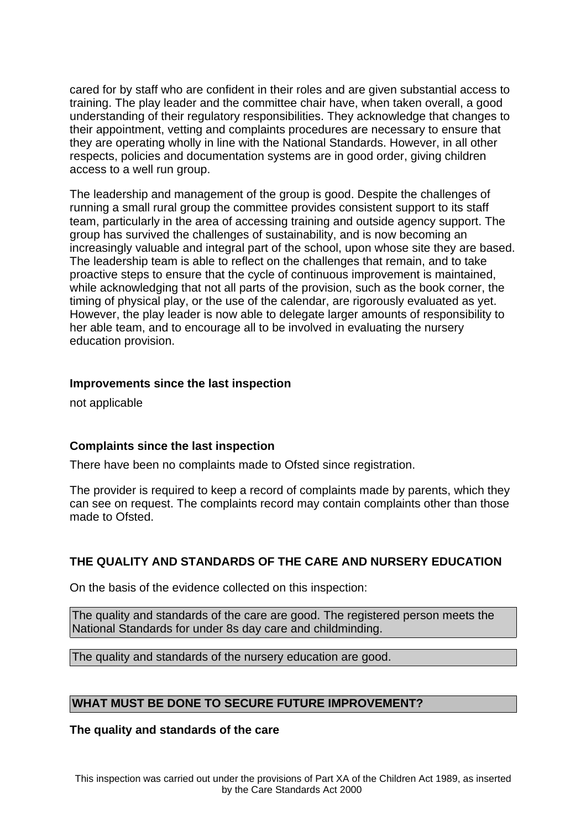cared for by staff who are confident in their roles and are given substantial access to training. The play leader and the committee chair have, when taken overall, a good understanding of their regulatory responsibilities. They acknowledge that changes to their appointment, vetting and complaints procedures are necessary to ensure that they are operating wholly in line with the National Standards. However, in all other respects, policies and documentation systems are in good order, giving children access to a well run group.

The leadership and management of the group is good. Despite the challenges of running a small rural group the committee provides consistent support to its staff team, particularly in the area of accessing training and outside agency support. The group has survived the challenges of sustainability, and is now becoming an increasingly valuable and integral part of the school, upon whose site they are based. The leadership team is able to reflect on the challenges that remain, and to take proactive steps to ensure that the cycle of continuous improvement is maintained, while acknowledging that not all parts of the provision, such as the book corner, the timing of physical play, or the use of the calendar, are rigorously evaluated as yet. However, the play leader is now able to delegate larger amounts of responsibility to her able team, and to encourage all to be involved in evaluating the nursery education provision.

# **Improvements since the last inspection**

not applicable

# **Complaints since the last inspection**

There have been no complaints made to Ofsted since registration.

The provider is required to keep a record of complaints made by parents, which they can see on request. The complaints record may contain complaints other than those made to Ofsted.

# **THE QUALITY AND STANDARDS OF THE CARE AND NURSERY EDUCATION**

On the basis of the evidence collected on this inspection:

The quality and standards of the care are good. The registered person meets the National Standards for under 8s day care and childminding.

The quality and standards of the nursery education are good.

# **WHAT MUST BE DONE TO SECURE FUTURE IMPROVEMENT?**

**The quality and standards of the care**